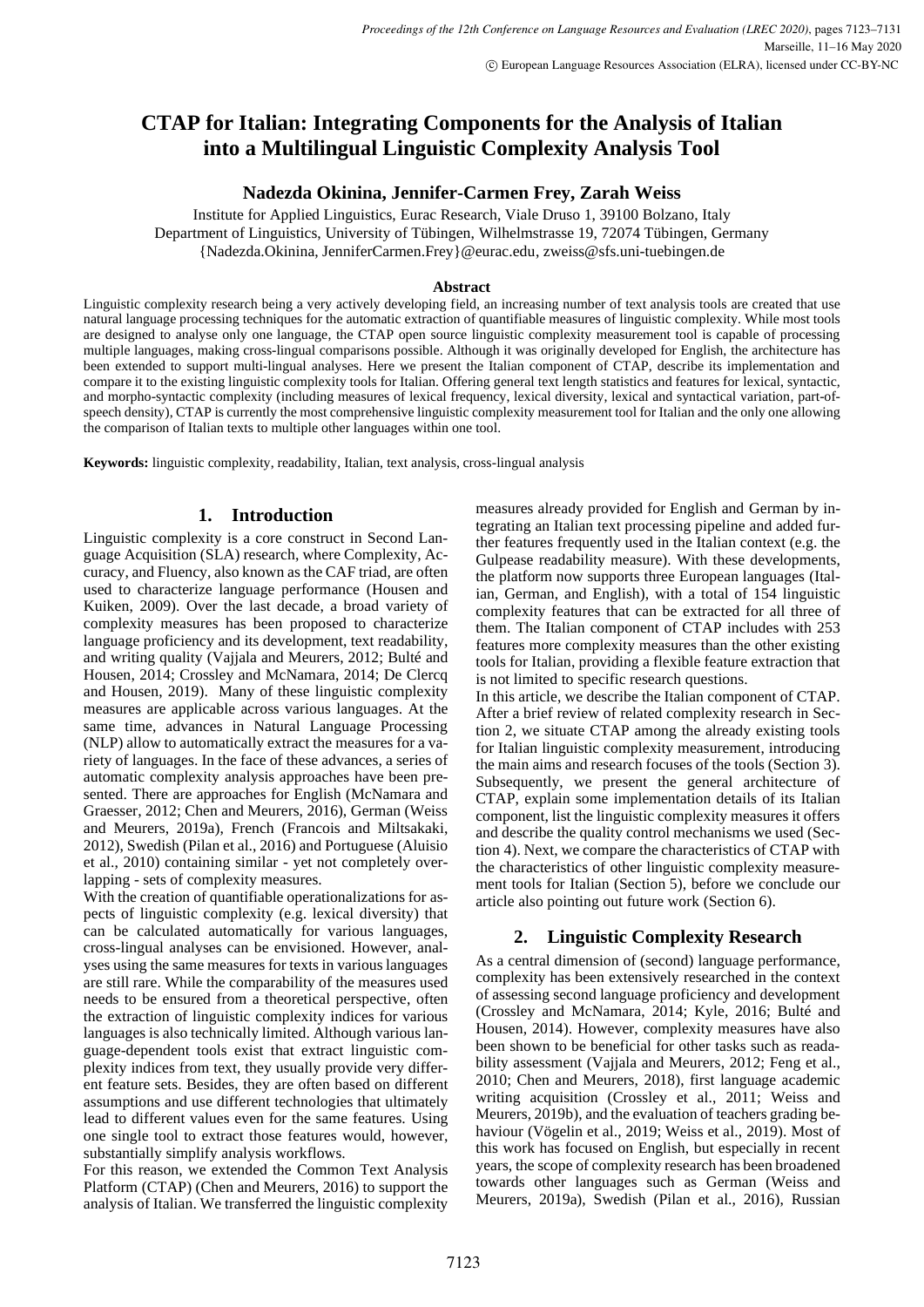# **CTAP for Italian: Integrating Components for the Analysis of Italian into a Multilingual Linguistic Complexity Analysis Tool**

### **Nadezda Okinina, Jennifer-Carmen Frey, Zarah Weiss**

Institute for Applied Linguistics, Eurac Research, Viale Druso 1, 39100 Bolzano, Italy Department of Linguistics, University of Tübingen, Wilhelmstrasse 19, 72074 Tübingen, Germany {Nadezda.Okinina, JenniferCarmen.Frey}@eurac.edu, zweiss@sfs.uni-tuebingen.de

### **Abstract**

Linguistic complexity research being a very actively developing field, an increasing number of text analysis tools are created that use natural language processing techniques for the automatic extraction of quantifiable measures of linguistic complexity. While most tools are designed to analyse only one language, the CTAP open source linguistic complexity measurement tool is capable of processing multiple languages, making cross-lingual comparisons possible. Although it was originally developed for English, the architecture has been extended to support multi-lingual analyses. Here we present the Italian component of CTAP, describe its implementation and compare it to the existing linguistic complexity tools for Italian. Offering general text length statistics and features for lexical, syntactic, and morpho-syntactic complexity (including measures of lexical frequency, lexical diversity, lexical and syntactical variation, part-ofspeech density), CTAP is currently the most comprehensive linguistic complexity measurement tool for Italian and the only one allowing the comparison of Italian texts to multiple other languages within one tool.

**Keywords:** linguistic complexity, readability, Italian, text analysis, cross-lingual analysis

# **1. Introduction**

Linguistic complexity is a core construct in Second Language Acquisition (SLA) research, where Complexity, Accuracy, and Fluency, also known as the CAF triad, are often used to characterize language performance (Housen and Kuiken, 2009). Over the last decade, a broad variety of complexity measures has been proposed to characterize language proficiency and its development, text readability, and writing quality (Vajjala and Meurers, 2012; Bulté and Housen, 2014; Crossley and McNamara, 2014; De Clercq and Housen, 2019). Many of these linguistic complexity measures are applicable across various languages. At the same time, advances in Natural Language Processing (NLP) allow to automatically extract the measures for a variety of languages. In the face of these advances, a series of automatic complexity analysis approaches have been presented. There are approaches for English (McNamara and Graesser, 2012; Chen and Meurers, 2016), German (Weiss and Meurers, 2019a), French (Francois and Miltsakaki, 2012), Swedish (Pilan et al., 2016) and Portuguese (Aluisio et al., 2010) containing similar - yet not completely overlapping - sets of complexity measures.

With the creation of quantifiable operationalizations for aspects of linguistic complexity (e.g. lexical diversity) that can be calculated automatically for various languages, cross-lingual analyses can be envisioned. However, analyses using the same measures for texts in various languages are still rare. While the comparability of the measures used needs to be ensured from a theoretical perspective, often the extraction of linguistic complexity indices for various languages is also technically limited. Although various language-dependent tools exist that extract linguistic complexity indices from text, they usually provide very different feature sets. Besides, they are often based on different assumptions and use different technologies that ultimately lead to different values even for the same features. Using one single tool to extract those features would, however, substantially simplify analysis workflows.

For this reason, we extended the Common Text Analysis Platform (CTAP) (Chen and Meurers, 2016) to support the analysis of Italian. We transferred the linguistic complexity measures already provided for English and German by integrating an Italian text processing pipeline and added further features frequently used in the Italian context (e.g. the Gulpease readability measure). With these developments, the platform now supports three European languages (Italian, German, and English), with a total of 154 linguistic complexity features that can be extracted for all three of them. The Italian component of CTAP includes with 253 features more complexity measures than the other existing tools for Italian, providing a flexible feature extraction that is not limited to specific research questions.

In this article, we describe the Italian component of CTAP. After a brief review of related complexity research in Section 2, we situate CTAP among the already existing tools for Italian linguistic complexity measurement, introducing the main aims and research focuses of the tools (Section 3). Subsequently, we present the general architecture of CTAP, explain some implementation details of its Italian component, list the linguistic complexity measures it offers and describe the quality control mechanisms we used (Section 4). Next, we compare the characteristics of CTAP with the characteristics of other linguistic complexity measurement tools for Italian (Section 5), before we conclude our article also pointing out future work (Section 6).

# **2. Linguistic Complexity Research**

As a central dimension of (second) language performance, complexity has been extensively researched in the context of assessing second language proficiency and development (Crossley and McNamara, 2014; Kyle, 2016; Bulté and Housen, 2014). However, complexity measures have also been shown to be beneficial for other tasks such as readability assessment (Vajjala and Meurers, 2012; Feng et al., 2010; Chen and Meurers, 2018), first language academic writing acquisition (Crossley et al., 2011; Weiss and Meurers, 2019b), and the evaluation of teachers grading behaviour (Vögelin et al., 2019; Weiss et al., 2019). Most of this work has focused on English, but especially in recent years, the scope of complexity research has been broadened towards other languages such as German (Weiss and Meurers, 2019a), Swedish (Pilan et al., 2016), Russian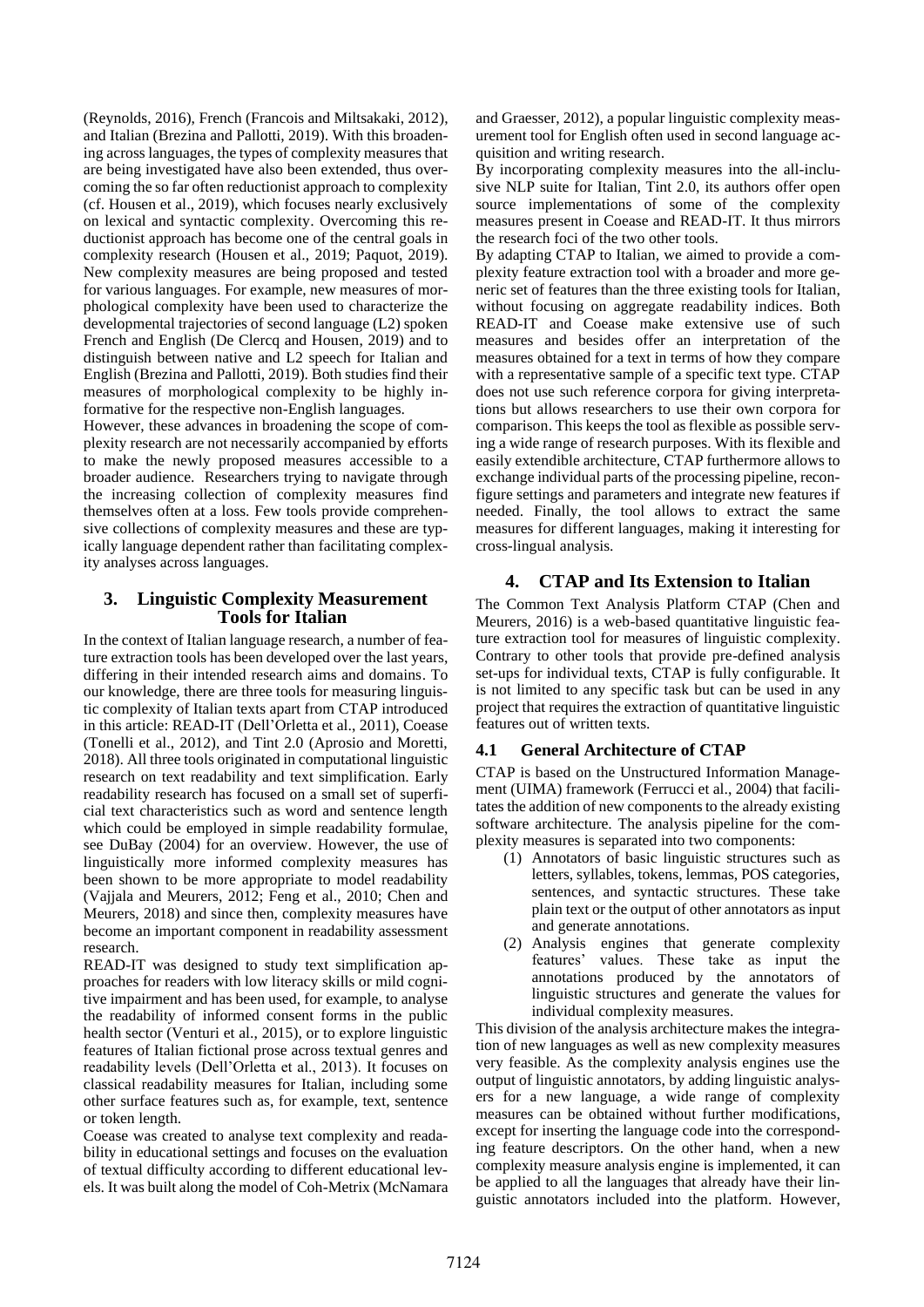(Reynolds, 2016), French (Francois and Miltsakaki, 2012), and Italian (Brezina and Pallotti, 2019). With this broadening across languages, the types of complexity measures that are being investigated have also been extended, thus overcoming the so far often reductionist approach to complexity (cf. Housen et al., 2019), which focuses nearly exclusively on lexical and syntactic complexity. Overcoming this reductionist approach has become one of the central goals in complexity research (Housen et al., 2019; Paquot, 2019). New complexity measures are being proposed and tested for various languages. For example, new measures of morphological complexity have been used to characterize the developmental trajectories of second language (L2) spoken French and English (De Clercq and Housen, 2019) and to distinguish between native and L2 speech for Italian and English (Brezina and Pallotti, 2019). Both studies find their measures of morphological complexity to be highly informative for the respective non-English languages.

However, these advances in broadening the scope of complexity research are not necessarily accompanied by efforts to make the newly proposed measures accessible to a broader audience. Researchers trying to navigate through the increasing collection of complexity measures find themselves often at a loss. Few tools provide comprehensive collections of complexity measures and these are typically language dependent rather than facilitating complexity analyses across languages.

### **3. Linguistic Complexity Measurement Tools for Italian**

In the context of Italian language research, a number of feature extraction tools has been developed over the last years, differing in their intended research aims and domains. To our knowledge, there are three tools for measuring linguistic complexity of Italian texts apart from CTAP introduced in this article: READ-IT (Dell'Orletta et al., 2011), Coease (Tonelli et al., 2012), and Tint 2.0 (Aprosio and Moretti, 2018). All three tools originated in computational linguistic research on text readability and text simplification. Early readability research has focused on a small set of superficial text characteristics such as word and sentence length which could be employed in simple readability formulae, see DuBay (2004) for an overview. However, the use of linguistically more informed complexity measures has been shown to be more appropriate to model readability (Vajjala and Meurers, 2012; Feng et al., 2010; Chen and Meurers, 2018) and since then, complexity measures have become an important component in readability assessment research.

READ-IT was designed to study text simplification approaches for readers with low literacy skills or mild cognitive impairment and has been used, for example, to analyse the readability of informed consent forms in the public health sector (Venturi et al., 2015), or to explore linguistic features of Italian fictional prose across textual genres and readability levels (Dell'Orletta et al., 2013). It focuses on classical readability measures for Italian, including some other surface features such as, for example, text, sentence or token length.

Coease was created to analyse text complexity and readability in educational settings and focuses on the evaluation of textual difficulty according to different educational levels. It was built along the model of Coh-Metrix (McNamara and Graesser, 2012), a popular linguistic complexity measurement tool for English often used in second language acquisition and writing research.

By incorporating complexity measures into the all-inclusive NLP suite for Italian, Tint 2.0, its authors offer open source implementations of some of the complexity measures present in Coease and READ-IT. It thus mirrors the research foci of the two other tools.

By adapting CTAP to Italian, we aimed to provide a complexity feature extraction tool with a broader and more generic set of features than the three existing tools for Italian, without focusing on aggregate readability indices. Both READ-IT and Coease make extensive use of such measures and besides offer an interpretation of the measures obtained for a text in terms of how they compare with a representative sample of a specific text type. CTAP does not use such reference corpora for giving interpretations but allows researchers to use their own corpora for comparison. This keeps the tool as flexible as possible serving a wide range of research purposes. With its flexible and easily extendible architecture, CTAP furthermore allows to exchange individual parts of the processing pipeline, reconfigure settings and parameters and integrate new features if needed. Finally, the tool allows to extract the same measures for different languages, making it interesting for cross-lingual analysis.

### **4. CTAP and Its Extension to Italian**

The Common Text Analysis Platform CTAP (Chen and Meurers, 2016) is a web-based quantitative linguistic feature extraction tool for measures of linguistic complexity. Contrary to other tools that provide pre-defined analysis set-ups for individual texts, CTAP is fully configurable. It is not limited to any specific task but can be used in any project that requires the extraction of quantitative linguistic features out of written texts.

### **4.1 General Architecture of CTAP**

CTAP is based on the Unstructured Information Management (UIMA) framework (Ferrucci et al., 2004) that facilitates the addition of new components to the already existing software architecture. The analysis pipeline for the complexity measures is separated into two components:

- (1) Annotators of basic linguistic structures such as letters, syllables, tokens, lemmas, POS categories, sentences, and syntactic structures. These take plain text or the output of other annotators as input and generate annotations.
- (2) Analysis engines that generate complexity features' values. These take as input the annotations produced by the annotators of linguistic structures and generate the values for individual complexity measures.

This division of the analysis architecture makes the integration of new languages as well as new complexity measures very feasible. As the complexity analysis engines use the output of linguistic annotators, by adding linguistic analysers for a new language, a wide range of complexity measures can be obtained without further modifications, except for inserting the language code into the corresponding feature descriptors. On the other hand, when a new complexity measure analysis engine is implemented, it can be applied to all the languages that already have their linguistic annotators included into the platform. However,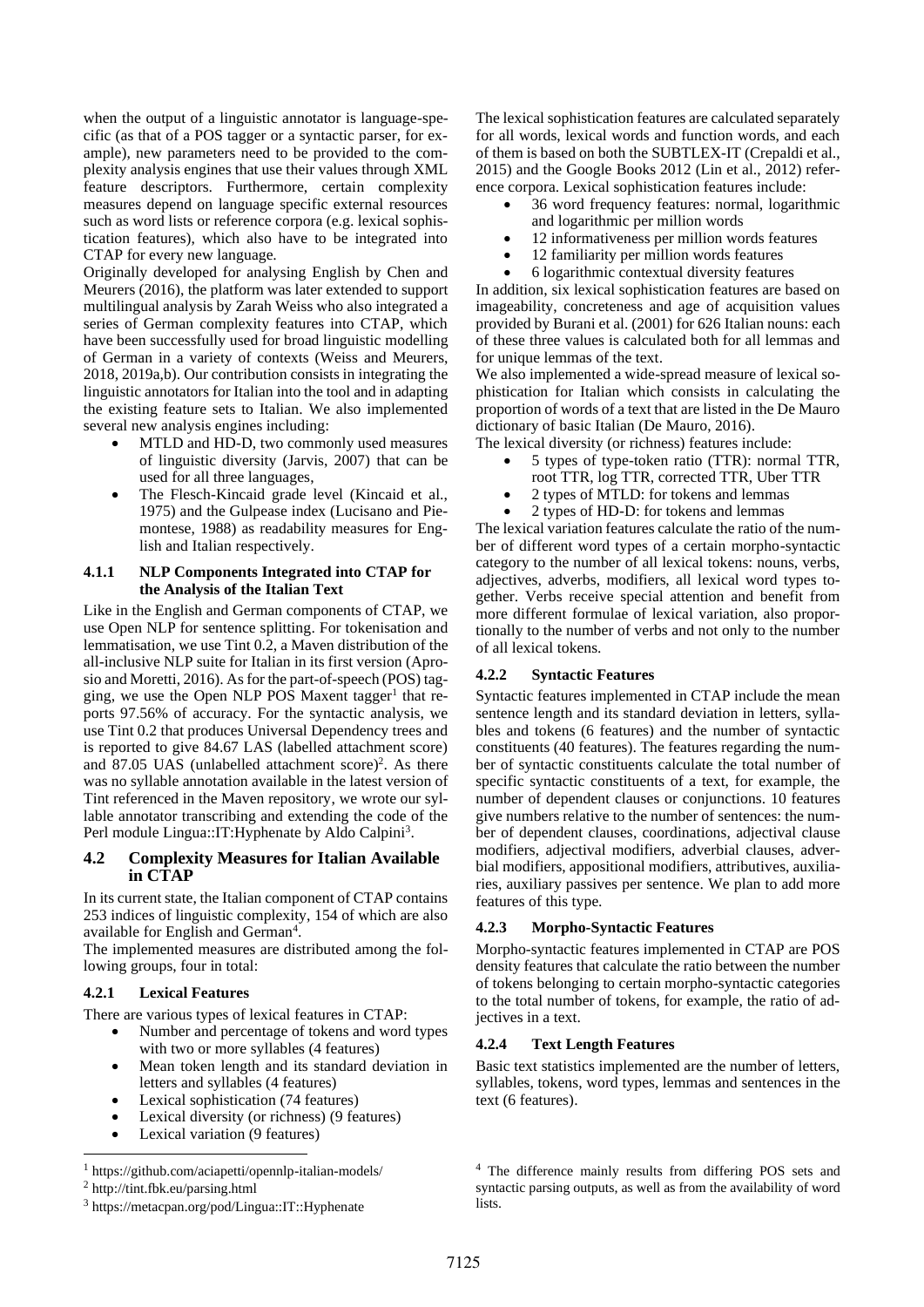when the output of a linguistic annotator is language-specific (as that of a POS tagger or a syntactic parser, for example), new parameters need to be provided to the complexity analysis engines that use their values through XML feature descriptors. Furthermore, certain complexity measures depend on language specific external resources such as word lists or reference corpora (e.g. lexical sophistication features), which also have to be integrated into CTAP for every new language.

Originally developed for analysing English by Chen and Meurers (2016), the platform was later extended to support multilingual analysis by Zarah Weiss who also integrated a series of German complexity features into CTAP, which have been successfully used for broad linguistic modelling of German in a variety of contexts (Weiss and Meurers, 2018, 2019a,b). Our contribution consists in integrating the linguistic annotators for Italian into the tool and in adapting the existing feature sets to Italian. We also implemented several new analysis engines including:

- MTLD and HD-D, two commonly used measures of linguistic diversity (Jarvis, 2007) that can be used for all three languages,
- The Flesch-Kincaid grade level (Kincaid et al., 1975) and the Gulpease index (Lucisano and Piemontese, 1988) as readability measures for English and Italian respectively.

#### **4.1.1 NLP Components Integrated into CTAP for the Analysis of the Italian Text**

Like in the English and German components of CTAP, we use Open NLP for sentence splitting. For tokenisation and lemmatisation, we use Tint 0.2, a Maven distribution of the all-inclusive NLP suite for Italian in its first version (Aprosio and Moretti, 2016). As for the part-of-speech (POS) tagging, we use the Open NLP POS Maxent tagger<sup>1</sup> that reports 97.56% of accuracy. For the syntactic analysis, we use Tint 0.2 that produces Universal Dependency trees and is reported to give 84.67 LAS (labelled attachment score) and 87.05 UAS (unlabelled attachment score)<sup>2</sup>. As there was no syllable annotation available in the latest version of Tint referenced in the Maven repository, we wrote our syllable annotator transcribing and extending the code of the Perl module Lingua:: IT: Hyphenate by Aldo Calpini<sup>3</sup>.

#### **4.2 Complexity Measures for Italian Available in CTAP**

In its current state, the Italian component of CTAP contains 253 indices of linguistic complexity, 154 of which are also available for English and German<sup>4</sup>.

The implemented measures are distributed among the following groups, four in total:

#### **4.2.1 Lexical Features**

There are various types of lexical features in CTAP:

- Number and percentage of tokens and word types with two or more syllables (4 features)
- Mean token length and its standard deviation in letters and syllables (4 features)
- Lexical sophistication (74 features)
- Lexical diversity (or richness) (9 features)
- Lexical variation (9 features)

The lexical sophistication features are calculated separately for all words, lexical words and function words, and each of them is based on both the SUBTLEX-IT (Crepaldi et al., 2015) and the Google Books 2012 (Lin et al., 2012) reference corpora. Lexical sophistication features include:

- 36 word frequency features: normal, logarithmic and logarithmic per million words
- 12 informativeness per million words features
- 12 familiarity per million words features
- 6 logarithmic contextual diversity features

In addition, six lexical sophistication features are based on imageability, concreteness and age of acquisition values provided by Burani et al. (2001) for 626 Italian nouns: each of these three values is calculated both for all lemmas and for unique lemmas of the text.

We also implemented a wide-spread measure of lexical sophistication for Italian which consists in calculating the proportion of words of a text that are listed in the De Mauro dictionary of basic Italian (De Mauro, 2016).

The lexical diversity (or richness) features include:

- 5 types of type-token ratio (TTR): normal TTR, root TTR, log TTR, corrected TTR, Uber TTR
- 2 types of MTLD: for tokens and lemmas
- 2 types of HD-D: for tokens and lemmas

The lexical variation features calculate the ratio of the number of different word types of a certain morpho-syntactic category to the number of all lexical tokens: nouns, verbs, adjectives, adverbs, modifiers, all lexical word types together. Verbs receive special attention and benefit from more different formulae of lexical variation, also proportionally to the number of verbs and not only to the number of all lexical tokens.

#### **4.2.2 Syntactic Features**

Syntactic features implemented in CTAP include the mean sentence length and its standard deviation in letters, syllables and tokens (6 features) and the number of syntactic constituents (40 features). The features regarding the number of syntactic constituents calculate the total number of specific syntactic constituents of a text, for example, the number of dependent clauses or conjunctions. 10 features give numbers relative to the number of sentences: the number of dependent clauses, coordinations, adjectival clause modifiers, adjectival modifiers, adverbial clauses, adverbial modifiers, appositional modifiers, attributives, auxiliaries, auxiliary passives per sentence. We plan to add more features of this type.

#### **4.2.3 Morpho-Syntactic Features**

Morpho-syntactic features implemented in CTAP are POS density features that calculate the ratio between the number of tokens belonging to certain morpho-syntactic categories to the total number of tokens, for example, the ratio of adjectives in a text.

#### **4.2.4 Text Length Features**

Basic text statistics implemented are the number of letters, syllables, tokens, word types, lemmas and sentences in the text (6 features).

<sup>4</sup> The difference mainly results from differing POS sets and syntactic parsing outputs, as well as from the availability of word **lists**.

<sup>1</sup> https://github.com/aciapetti/opennlp-italian-models/

<sup>2</sup> http://tint.fbk.eu/parsing.html

<sup>3</sup> https://metacpan.org/pod/Lingua::IT::Hyphenate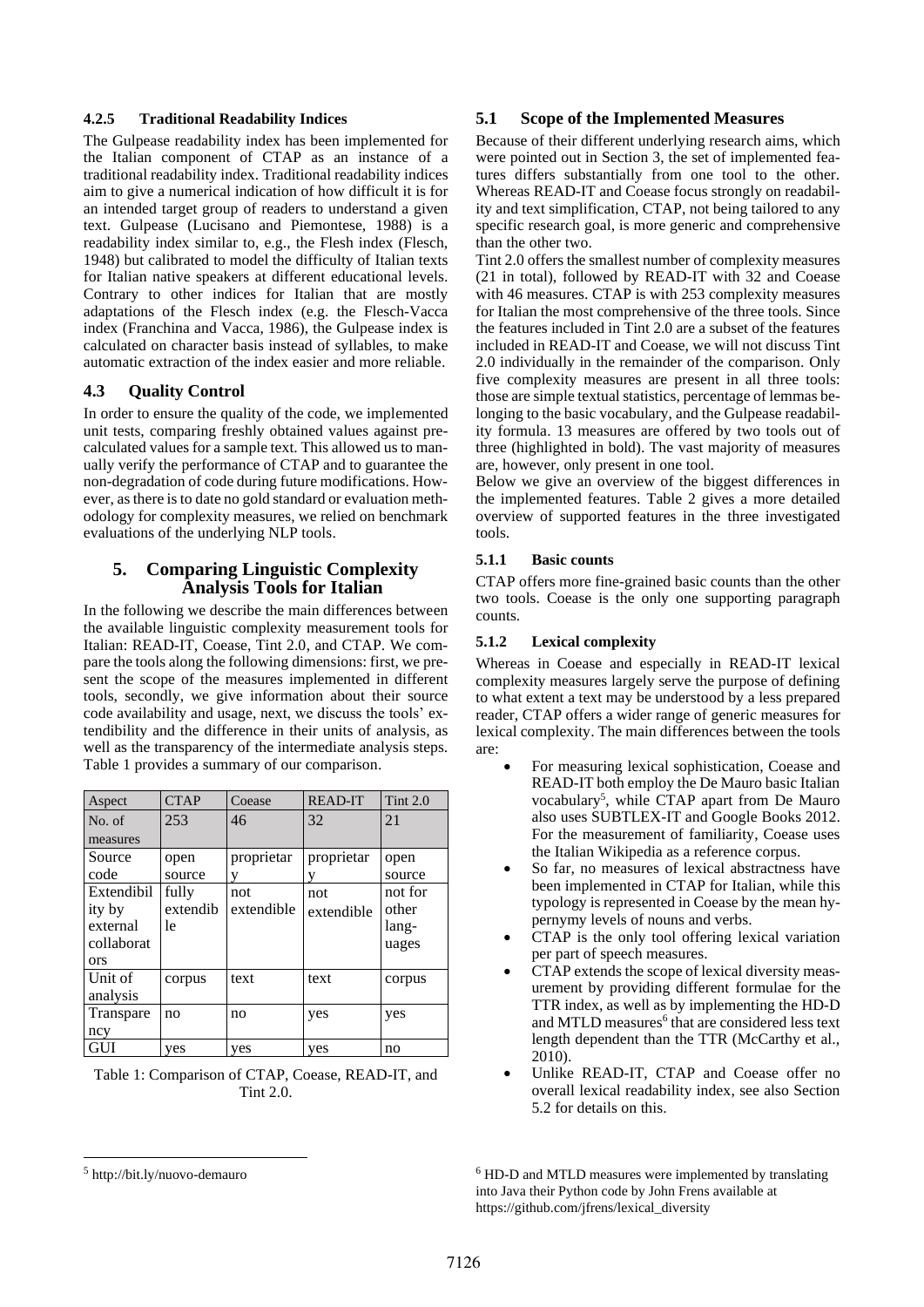#### **4.2.5 Traditional Readability Indices**

The Gulpease readability index has been implemented for the Italian component of CTAP as an instance of a traditional readability index. Traditional readability indices aim to give a numerical indication of how difficult it is for an intended target group of readers to understand a given text. Gulpease (Lucisano and Piemontese, 1988) is a readability index similar to, e.g., the Flesh index (Flesch, 1948) but calibrated to model the difficulty of Italian texts for Italian native speakers at different educational levels. Contrary to other indices for Italian that are mostly adaptations of the Flesch index (e.g. the Flesch-Vacca index (Franchina and Vacca, 1986), the Gulpease index is calculated on character basis instead of syllables, to make automatic extraction of the index easier and more reliable.

#### **4.3 Quality Control**

In order to ensure the quality of the code, we implemented unit tests, comparing freshly obtained values against precalculated values for a sample text. This allowed us to manually verify the performance of CTAP and to guarantee the non-degradation of code during future modifications. However, as there is to date no gold standard or evaluation methodology for complexity measures, we relied on benchmark evaluations of the underlying NLP tools.

### **5. Comparing Linguistic Complexity Analysis Tools for Italian**

In the following we describe the main differences between the available linguistic complexity measurement tools for Italian: READ-IT, Coease, Tint 2.0, and CTAP. We compare the tools along the following dimensions: first, we present the scope of the measures implemented in different tools, secondly, we give information about their source code availability and usage, next, we discuss the tools' extendibility and the difference in their units of analysis, as well as the transparency of the intermediate analysis steps. Table 1 provides a summary of our comparison.

| Aspect     | <b>CTAP</b> | Coease     | <b>READ-IT</b> | Tint $2.0$ |
|------------|-------------|------------|----------------|------------|
| No. of     | 253         | 46         | 32             | 21         |
| measures   |             |            |                |            |
| Source     | open        | proprietar | proprietar     | open       |
| code       | source      |            |                | source     |
| Extendibil | fully       | not        | not            | not for    |
| ity by     | extendib    | extendible | extendible     | other      |
| external   | 1e          |            |                | lang-      |
| collaborat |             |            |                | uages      |
| <b>ors</b> |             |            |                |            |
| Unit of    | corpus      | text       | text           | corpus     |
| analysis   |             |            |                |            |
| Transpare  | no          | no         | yes            | yes        |
| ncy        |             |            |                |            |
| GUI        | yes         | yes        | yes            | no         |

Table 1: Comparison of CTAP, Coease, READ-IT, and Tint 2.0.

#### **5.1 Scope of the Implemented Measures**

Because of their different underlying research aims, which were pointed out in Section 3, the set of implemented features differs substantially from one tool to the other. Whereas READ-IT and Coease focus strongly on readability and text simplification, CTAP, not being tailored to any specific research goal, is more generic and comprehensive than the other two.

Tint 2.0 offers the smallest number of complexity measures (21 in total), followed by READ-IT with 32 and Coease with 46 measures. CTAP is with 253 complexity measures for Italian the most comprehensive of the three tools. Since the features included in Tint 2.0 are a subset of the features included in READ-IT and Coease, we will not discuss Tint 2.0 individually in the remainder of the comparison. Only five complexity measures are present in all three tools: those are simple textual statistics, percentage of lemmas belonging to the basic vocabulary, and the Gulpease readability formula. 13 measures are offered by two tools out of three (highlighted in bold). The vast majority of measures are, however, only present in one tool.

Below we give an overview of the biggest differences in the implemented features. Table 2 gives a more detailed overview of supported features in the three investigated tools.

#### **5.1.1 Basic counts**

CTAP offers more fine-grained basic counts than the other two tools. Coease is the only one supporting paragraph counts.

#### **5.1.2 Lexical complexity**

Whereas in Coease and especially in READ-IT lexical complexity measures largely serve the purpose of defining to what extent a text may be understood by a less prepared reader, CTAP offers a wider range of generic measures for lexical complexity. The main differences between the tools are:

- For measuring lexical sophistication, Coease and READ-IT both employ the De Mauro basic Italian vocabulary<sup>5</sup>, while CTAP apart from De Mauro also uses SUBTLEX-IT and Google Books 2012. For the measurement of familiarity, Coease uses the Italian Wikipedia as a reference corpus.
- So far, no measures of lexical abstractness have been implemented in CTAP for Italian, while this typology is represented in Coease by the mean hypernymy levels of nouns and verbs.
- CTAP is the only tool offering lexical variation per part of speech measures.
- CTAP extends the scope of lexical diversity measurement by providing different formulae for the TTR index, as well as by implementing the HD-D and MTLD measures<sup>6</sup> that are considered less text length dependent than the TTR (McCarthy et al., 2010).
- Unlike READ-IT, CTAP and Coease offer no overall lexical readability index, see also Section 5.2 for details on this.

<sup>6</sup> HD-D and MTLD measures were implemented by translating into Java their Python code by John Frens available at https://github.com/jfrens/lexical\_diversity

<sup>5</sup> http://bit.ly/nuovo-demauro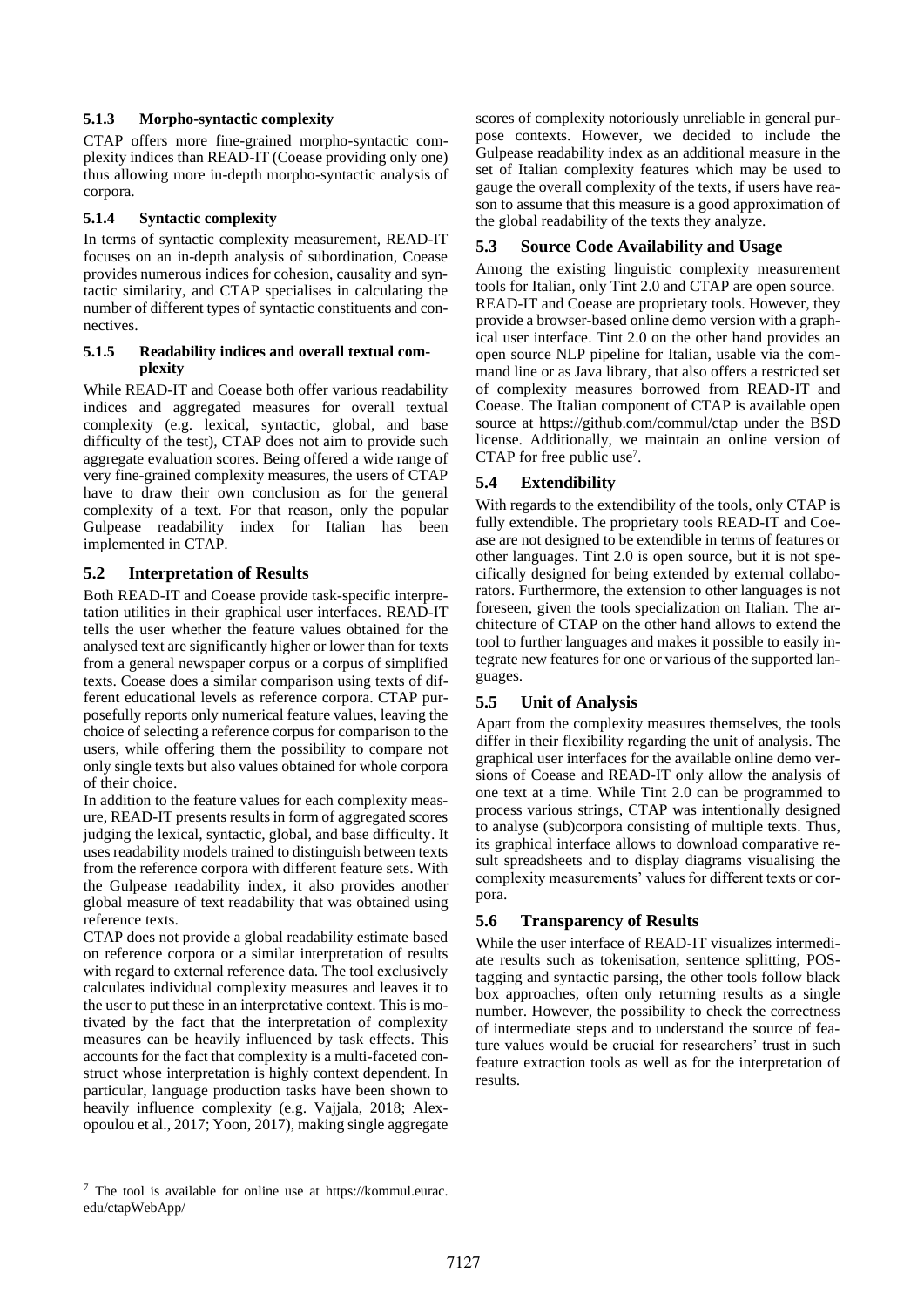#### **5.1.3 Morpho-syntactic complexity**

CTAP offers more fine-grained morpho-syntactic complexity indices than READ-IT (Coease providing only one) thus allowing more in-depth morpho-syntactic analysis of corpora.

#### **5.1.4 Syntactic complexity**

In terms of syntactic complexity measurement, READ-IT focuses on an in-depth analysis of subordination, Coease provides numerous indices for cohesion, causality and syntactic similarity, and CTAP specialises in calculating the number of different types of syntactic constituents and connectives.

#### **5.1.5 Readability indices and overall textual complexity**

While READ-IT and Coease both offer various readability indices and aggregated measures for overall textual complexity (e.g. lexical, syntactic, global, and base difficulty of the test), CTAP does not aim to provide such aggregate evaluation scores. Being offered a wide range of very fine-grained complexity measures, the users of CTAP have to draw their own conclusion as for the general complexity of a text. For that reason, only the popular Gulpease readability index for Italian has been implemented in CTAP.

### **5.2 Interpretation of Results**

Both READ-IT and Coease provide task-specific interpretation utilities in their graphical user interfaces. READ-IT tells the user whether the feature values obtained for the analysed text are significantly higher or lower than for texts from a general newspaper corpus or a corpus of simplified texts. Coease does a similar comparison using texts of different educational levels as reference corpora. CTAP purposefully reports only numerical feature values, leaving the choice of selecting a reference corpus for comparison to the users, while offering them the possibility to compare not only single texts but also values obtained for whole corpora of their choice.

In addition to the feature values for each complexity measure, READ-IT presents results in form of aggregated scores judging the lexical, syntactic, global, and base difficulty. It uses readability models trained to distinguish between texts from the reference corpora with different feature sets. With the Gulpease readability index, it also provides another global measure of text readability that was obtained using reference texts.

CTAP does not provide a global readability estimate based on reference corpora or a similar interpretation of results with regard to external reference data. The tool exclusively calculates individual complexity measures and leaves it to the user to put these in an interpretative context. This is motivated by the fact that the interpretation of complexity measures can be heavily influenced by task effects. This accounts for the fact that complexity is a multi-faceted construct whose interpretation is highly context dependent. In particular, language production tasks have been shown to heavily influence complexity (e.g. Vajjala, 2018; Alexopoulou et al., 2017; Yoon, 2017), making single aggregate

<sup>7</sup> The tool is available for online use at https://kommul.eurac. edu/ctapWebApp/

scores of complexity notoriously unreliable in general purpose contexts. However, we decided to include the Gulpease readability index as an additional measure in the set of Italian complexity features which may be used to gauge the overall complexity of the texts, if users have reason to assume that this measure is a good approximation of the global readability of the texts they analyze.

### **5.3 Source Code Availability and Usage**

Among the existing linguistic complexity measurement tools for Italian, only Tint 2.0 and CTAP are open source. READ-IT and Coease are proprietary tools. However, they provide a browser-based online demo version with a graphical user interface. Tint 2.0 on the other hand provides an open source NLP pipeline for Italian, usable via the command line or as Java library, that also offers a restricted set of complexity measures borrowed from READ-IT and Coease. The Italian component of CTAP is available open source at https://github.com/commul/ctap under the BSD license. Additionally, we maintain an online version of CTAP for free public use<sup>7</sup>.

### **5.4 Extendibility**

With regards to the extendibility of the tools, only CTAP is fully extendible. The proprietary tools READ-IT and Coease are not designed to be extendible in terms of features or other languages. Tint 2.0 is open source, but it is not specifically designed for being extended by external collaborators. Furthermore, the extension to other languages is not foreseen, given the tools specialization on Italian. The architecture of CTAP on the other hand allows to extend the tool to further languages and makes it possible to easily integrate new features for one or various of the supported languages.

### **5.5 Unit of Analysis**

Apart from the complexity measures themselves, the tools differ in their flexibility regarding the unit of analysis. The graphical user interfaces for the available online demo versions of Coease and READ-IT only allow the analysis of one text at a time. While Tint 2.0 can be programmed to process various strings, CTAP was intentionally designed to analyse (sub)corpora consisting of multiple texts. Thus, its graphical interface allows to download comparative result spreadsheets and to display diagrams visualising the complexity measurements' values for different texts or corpora.

### **5.6 Transparency of Results**

While the user interface of READ-IT visualizes intermediate results such as tokenisation, sentence splitting, POStagging and syntactic parsing, the other tools follow black box approaches, often only returning results as a single number. However, the possibility to check the correctness of intermediate steps and to understand the source of feature values would be crucial for researchers' trust in such feature extraction tools as well as for the interpretation of results.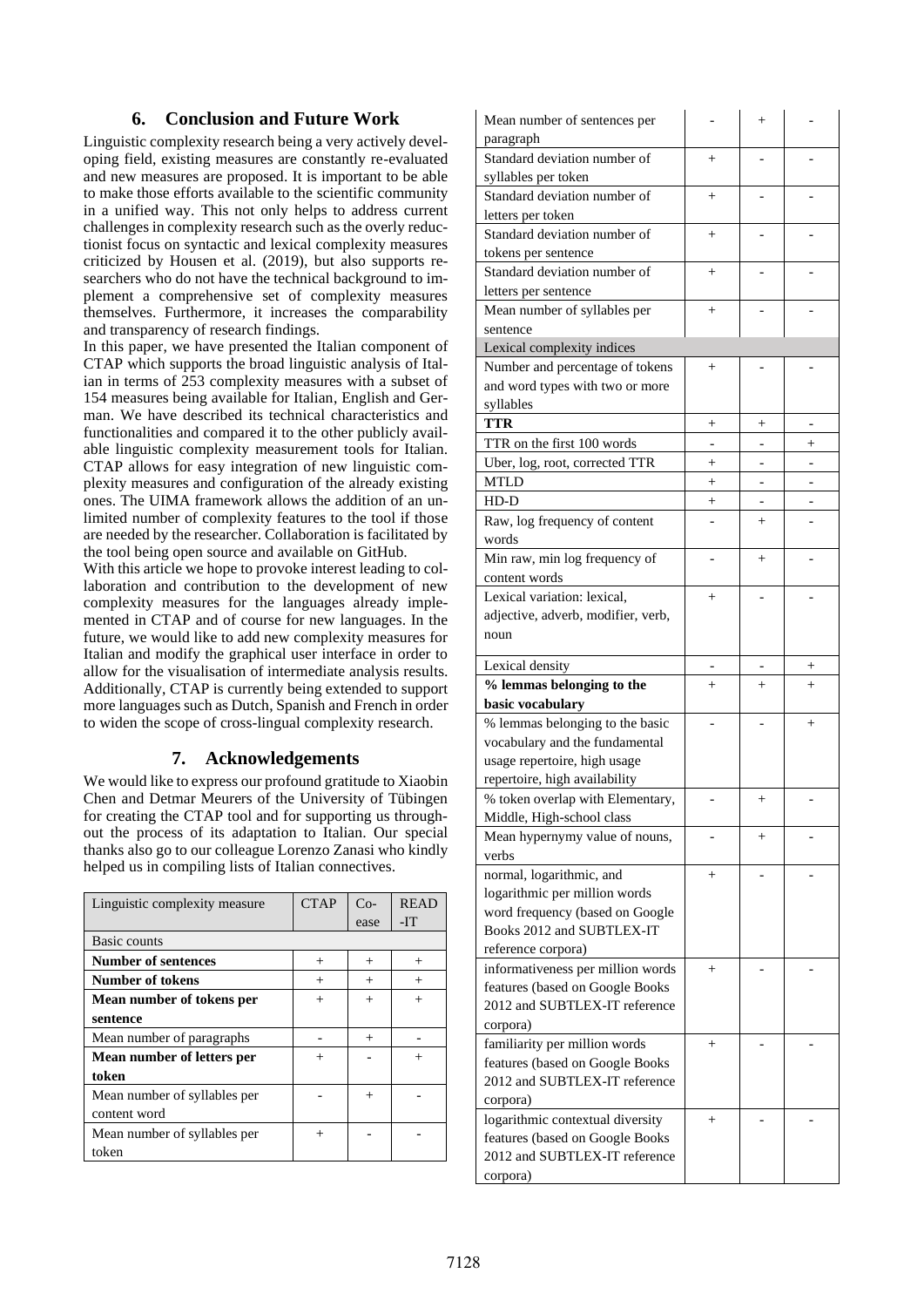### **6. Conclusion and Future Work**

Linguistic complexity research being a very actively developing field, existing measures are constantly re-evaluated and new measures are proposed. It is important to be able to make those efforts available to the scientific community in a unified way. This not only helps to address current challenges in complexity research such as the overly reductionist focus on syntactic and lexical complexity measures criticized by Housen et al . (2019), but also supports researchers who do not have the technical background to implement a comprehensive set of complexity measures themselves . Furthermore, it increases the comparability and transparency of research findings.

In this paper , we have presented the Italian component of CTAP which supports the broad linguistic analysis of Italian in terms of 253 complexity measures with a subset of 154 measures being available for Italian, English and German. We have described its technical characteristics and functionalities and compared it to the other publicly available linguistic complexity measurement tools for Italian. CTAP allows for easy integration of new linguistic complexity measures and configuration of the already existing ones. The UIMA framework allows the addition of an unlimited number of complexity features to the tool if those are needed by the researcher. Collaboration is facilitated by the tool being open source and available on GitHub .

With this article we hope to provoke interest leading to collaboration and contribution to the development of new complexity measures for the languages already implemented in CTAP and of course for new languages. In the future , we would like to add new complexity measures for Italian and modify the graphical user interface in order to allow for the visualisation of intermediate analysis results. Additionally, CTAP is currently being extended to support more languages such as Dutch, Spanish and French in order to widen the scope of cross - lingual complexity research.

# **7. Acknowledgements**

We would like to express our profound gratitude to Xiaobin Che n and Detmar Meurers of the University of Tübingen for creating the CTAP tool and for supporting us throughout the process of its adaptation to Italian. Our special thanks also go to our colleague Lorenzo Zanasi who kindly helped us i n compiling lists of Italian connectives.

| Linguistic complexity measure | <b>CTAP</b> | $Co-$<br>ease | <b>READ</b><br>-IT |
|-------------------------------|-------------|---------------|--------------------|
| Basic counts                  |             |               |                    |
| <b>Number of sentences</b>    | $^{+}$      | $^{+}$        | $^{+}$             |
| <b>Number of tokens</b>       | $^{+}$      | $^{+}$        | $^{+}$             |
| Mean number of tokens per     | $^{+}$      | $^{+}$        | $^{+}$             |
| sentence                      |             |               |                    |
| Mean number of paragraphs     |             | $^{+}$        |                    |
| Mean number of letters per    | $^+$        |               |                    |
| token                         |             |               |                    |
| Mean number of syllables per  |             | $^{+}$        |                    |
| content word                  |             |               |                    |
| Mean number of syllables per  | $^{+}$      |               |                    |
| token                         |             |               |                    |

| Mean number of sentences per<br>paragraph                     |        | $^{+}$      |        |
|---------------------------------------------------------------|--------|-------------|--------|
| Standard deviation number of<br>syllables per token           | $+$    |             |        |
| Standard deviation number of<br>letters per token             | $^{+}$ |             |        |
| Standard deviation number of<br>tokens per sentence           | $^{+}$ |             |        |
| Standard deviation number of<br>letters per sentence          | $^{+}$ |             |        |
| Mean number of syllables per<br>sentence                      | $^{+}$ |             |        |
| Lexical complexity indices                                    |        |             |        |
| Number and percentage of tokens                               | $^{+}$ |             |        |
| and word types with two or more<br>syllables                  |        |             |        |
| TTR                                                           | $^{+}$ | $^+$        |        |
| TTR on the first 100 words                                    |        |             | $^{+}$ |
| Uber, log, root, corrected TTR                                | $^{+}$ |             |        |
| <b>MTLD</b>                                                   | $^{+}$ |             |        |
| HD-D                                                          |        |             |        |
| Raw, log frequency of content                                 | $^{+}$ | -<br>$^{+}$ |        |
| words                                                         |        |             |        |
| Min raw, min log frequency of<br>content words                |        | $^{+}$      |        |
| Lexical variation: lexical,                                   | $+$    |             |        |
| adjective, adverb, modifier, verb,<br>noun                    |        |             |        |
| Lexical density                                               |        |             | $^+$   |
| % lemmas belonging to the                                     | $+$    | $^{+}$      | $^{+}$ |
| basic vocabulary                                              |        |             |        |
| % lemmas belonging to the basic                               |        |             | $^{+}$ |
| vocabulary and the fundamental                                |        |             |        |
|                                                               |        |             |        |
| usage repertoire, high usage                                  |        |             |        |
| repertoire, high availability                                 |        |             |        |
| % token overlap with Elementary,<br>Middle, High-school class |        | $^+$        |        |
| Mean hypernymy value of nouns,<br>verbs                       |        | $^{+}$      |        |
| normal, logarithmic, and                                      | $^{+}$ |             |        |
| logarithmic per million words                                 |        |             |        |
| word frequency (based on Google                               |        |             |        |
| Books 2012 and SUBTLEX-IT                                     |        |             |        |
| reference corpora)                                            |        |             |        |
| informativeness per million words                             | $^{+}$ |             |        |
| features (based on Google Books                               |        |             |        |
| 2012 and SUBTLEX-IT reference                                 |        |             |        |
| corpora)                                                      |        |             |        |
| familiarity per million words                                 | $^{+}$ |             |        |
| features (based on Google Books                               |        |             |        |
| 2012 and SUBTLEX-IT reference                                 |        |             |        |
| corpora)                                                      |        |             |        |
| logarithmic contextual diversity                              | $^{+}$ |             |        |
| features (based on Google Books                               |        |             |        |
| 2012 and SUBTLEX-IT reference<br>corpora)                     |        |             |        |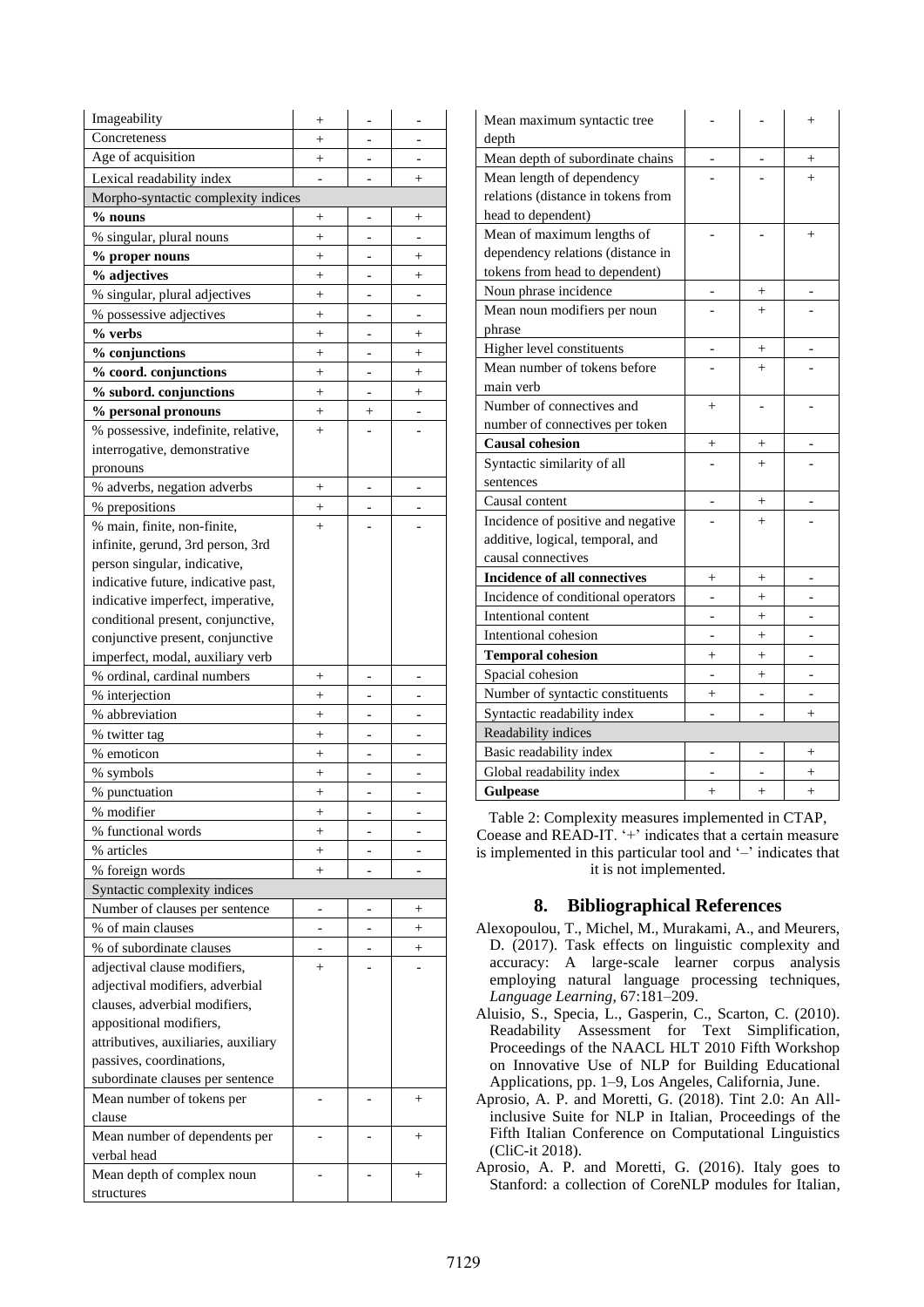| Imageability                         | $^{+}$                   |                |                 |
|--------------------------------------|--------------------------|----------------|-----------------|
| Concreteness                         | $^{+}$                   |                |                 |
| Age of acquisition                   | $\! + \!\!\!\!$          | -              | -               |
| Lexical readability index            |                          |                | $^{+}$          |
| Morpho-syntactic complexity indices  |                          |                |                 |
| $%$ nouns                            | $^{+}$                   |                | $^+$            |
| % singular, plural nouns             | $^{+}$                   |                |                 |
| % proper nouns                       | $^{+}$                   |                | $^+$            |
| % adjectives                         | $^{+}$                   |                | $^+$            |
| % singular, plural adjectives        | $^{+}$                   |                |                 |
| % possessive adjectives              | $^{+}$                   |                |                 |
| % verbs                              | $+$                      |                | $^{+}$          |
| % conjunctions                       | $+$                      |                | $^{+}$          |
| % coord. conjunctions                | $^{+}$                   |                | $^{+}$          |
| % subord. conjunctions               | $\! + \!\!\!\!$          | $\overline{a}$ | $^{+}$          |
| % personal pronouns                  | $^+$                     | $^{+}$         |                 |
| % possessive, indefinite, relative,  | $+$                      |                |                 |
| interrogative, demonstrative         |                          |                |                 |
| pronouns                             |                          |                |                 |
| % adverbs, negation adverbs          | $^{+}$                   |                |                 |
| % prepositions                       | $^{+}$                   |                |                 |
| % main, finite, non-finite,          | $\ddot{}$                |                |                 |
| infinite, gerund, 3rd person, 3rd    |                          |                |                 |
| person singular, indicative,         |                          |                |                 |
| indicative future, indicative past,  |                          |                |                 |
| indicative imperfect, imperative,    |                          |                |                 |
| conditional present, conjunctive,    |                          |                |                 |
| conjunctive present, conjunctive     |                          |                |                 |
| imperfect, modal, auxiliary verb     |                          |                |                 |
| % ordinal, cardinal numbers          | $^{+}$                   |                |                 |
| % interjection                       | $^{+}$                   |                |                 |
| % abbreviation                       | $^{+}$                   |                |                 |
| % twitter tag                        | $+$                      |                |                 |
| % emoticon                           | $^{+}$                   |                |                 |
| % symbols                            | $^{+}$                   |                |                 |
| % punctuation                        | $\! + \!\!\!\!$          | $\overline{a}$ |                 |
| % modifier                           | $\hspace{0.1mm} +$       |                |                 |
| % functional words                   | $+$                      |                |                 |
| % articles                           | $^{+}$                   |                |                 |
| % foreign words                      | $^{+}$                   |                |                 |
| Syntactic complexity indices         |                          |                |                 |
| Number of clauses per sentence       | $\overline{\phantom{0}}$ |                | $\! + \!\!\!\!$ |
| % of main clauses                    |                          |                | $^{+}$          |
| % of subordinate clauses             |                          |                | $^{+}$          |
| adjectival clause modifiers,         | $^{+}$                   |                |                 |
| adjectival modifiers, adverbial      |                          |                |                 |
| clauses, adverbial modifiers,        |                          |                |                 |
| appositional modifiers,              |                          |                |                 |
| attributives, auxiliaries, auxiliary |                          |                |                 |
| passives, coordinations,             |                          |                |                 |
| subordinate clauses per sentence     |                          |                |                 |
| Mean number of tokens per            |                          |                | $^+$            |
| clause                               |                          |                |                 |
| Mean number of dependents per        |                          |                | $^{+}$          |
| verbal head                          |                          |                |                 |
| Mean depth of complex noun           |                          |                | $\! + \!\!\!\!$ |
| structures                           |                          |                |                 |
|                                      |                          |                |                 |

| Mean maximum syntactic tree<br>depth |           |           | $^{+}$ |
|--------------------------------------|-----------|-----------|--------|
| Mean depth of subordinate chains     |           |           | $^+$   |
| Mean length of dependency            |           |           | $^{+}$ |
| relations (distance in tokens from   |           |           |        |
| head to dependent)                   |           |           |        |
| Mean of maximum lengths of           |           |           | $^{+}$ |
| dependency relations (distance in    |           |           |        |
| tokens from head to dependent)       |           |           |        |
| Noun phrase incidence                |           | $^+$      |        |
| Mean noun modifiers per noun         |           | $^{+}$    |        |
| phrase                               |           |           |        |
| Higher level constituents            |           | $^+$      |        |
| Mean number of tokens before         |           | $\ddot{}$ |        |
| main verb                            |           |           |        |
| Number of connectives and            | $^{+}$    |           |        |
| number of connectives per token      |           |           |        |
| <b>Causal cohesion</b>               | $^{+}$    | $^{+}$    |        |
| Syntactic similarity of all          |           | $^{+}$    |        |
| sentences                            |           |           |        |
| Causal content                       |           | $^+$      |        |
| Incidence of positive and negative   |           | $^{+}$    |        |
| additive, logical, temporal, and     |           |           |        |
| causal connectives                   |           |           |        |
| <b>Incidence of all connectives</b>  | $^{+}$    | $^{+}$    |        |
| Incidence of conditional operators   |           | $^{+}$    |        |
| Intentional content                  |           | $^{+}$    |        |
| Intentional cohesion                 |           | $^{+}$    |        |
| <b>Temporal cohesion</b>             | $^{+}$    | $^{+}$    |        |
| Spacial cohesion                     |           | $^{+}$    |        |
| Number of syntactic constituents     | $^{+}$    |           |        |
| Syntactic readability index          |           |           | $^{+}$ |
| Readability indices                  |           |           |        |
| Basic readability index              |           |           | $^{+}$ |
| Global readability index             |           |           | $^{+}$ |
| <b>Gulpease</b>                      | $\ddot{}$ | $^{+}$    | $^{+}$ |

Table 2: Complexity measures implemented in CTAP, Coease and READ -IT. '+' indicates that a certain measure is implemented in this particular tool and  $\prime$  -' indicates that it is not implemented.

### **8. Bibliographical References**

- Alexopoulou, T., Michel, M., Murakami, A., and Meurers, D. (2017). Task effects on linguistic complexity and accuracy: A large -scale learner corpus analysis employing natural language processing techniques , *Language Learning*, 67 :181 –209.
- Aluisio, S., Specia, L., Gasperin, C., Scarton, C. (2010). Readability Assessment for Text Simplification, Proceedings of the NAACL HLT 2010 Fifth Workshop on Innovative Use of NLP for Building Educational Applications, pp. 1–9, Los Angeles, California, June.
- Aprosio, A. P. and Moretti, G. (2018). Tint 2.0: An Allinclusive Suite for NLP in Italian, Proceedings of the Fifth Italian Conference on Computational Linguistics (CliC -it 2018) .
- Aprosio, A. P. and Moretti, G. (201 6). Italy goes to Stanford: a collection of CoreNLP modules for Italian,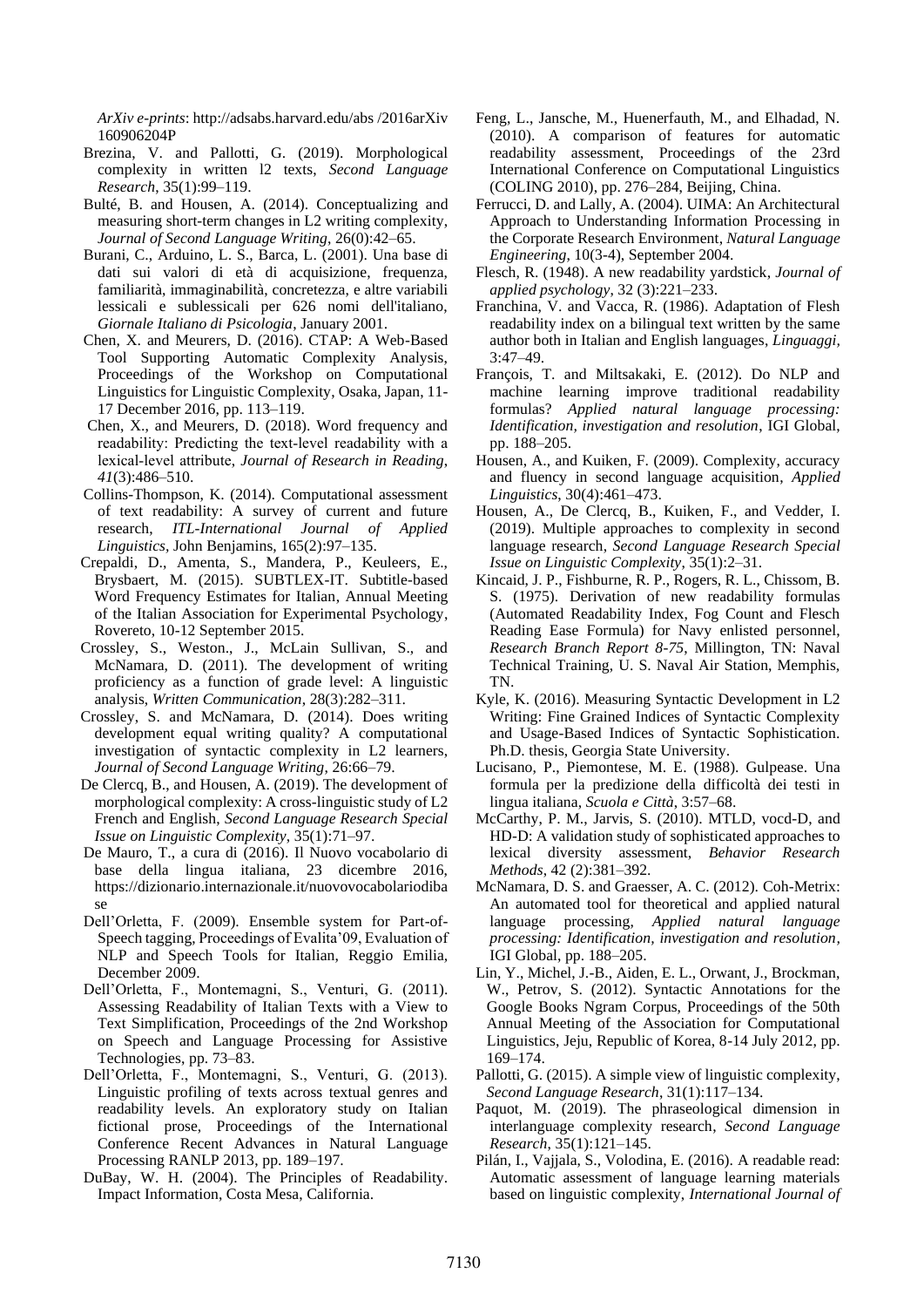*ArXiv e-prints*: http://adsabs.harvard.edu/abs /2016arXiv 160906204P

- Brezina, V. and Pallotti, G. (2019). Morphological complexity in written l2 texts, *Second Language Research*, 35(1):99–119.
- Bulté, B. and Housen, A. (2014). Conceptualizing and measuring short-term changes in L2 writing complexity, *Journal of Second Language Writing*, 26(0):42–65.
- Burani, C., Arduino, L. S., Barca, L. (2001). Una base di dati sui valori di età di acquisizione, frequenza, familiarità, immaginabilità, concretezza, e altre variabili lessicali e sublessicali per 626 nomi dell'italiano, *Giornale Italiano di Psicologia*, January 2001.
- Chen, X. and Meurers, D. (2016). CTAP: A Web-Based Tool Supporting Automatic Complexity Analysis, Proceedings of the Workshop on Computational Linguistics for Linguistic Complexity, Osaka, Japan, 11- 17 December 2016, pp. 113–119.
- Chen, X., and Meurers, D. (2018). Word frequency and readability: Predicting the text‐level readability with a lexical‐level attribute, *Journal of Research in Reading*, *41*(3):486–510.
- Collins-Thompson, K. (2014). Computational assessment of text readability: A survey of current and future research, *ITL-International Journal of Applied Linguistics,* John Benjamins, 165(2):97–135.
- Crepaldi, D., Amenta, S., Mandera, P., Keuleers, E., Brysbaert, M. (2015). SUBTLEX-IT. Subtitle-based Word Frequency Estimates for Italian, Annual Meeting of the Italian Association for Experimental Psychology, Rovereto, 10-12 September 2015.
- Crossley, S., Weston., J., McLain Sullivan, S., and McNamara, D. (2011). The development of writing proficiency as a function of grade level: A linguistic analysis, *Written Communication*, 28(3):282–311.
- Crossley, S. and McNamara, D. (2014). Does writing development equal writing quality? A computational investigation of syntactic complexity in L2 learners, *Journal of Second Language Writing*, 26:66–79.
- De Clercq, B., and Housen, A. (2019). The development of morphological complexity: A cross-linguistic study of L2 French and English, *Second Language Research Special Issue on Linguistic Complexity*, 35(1):71–97.
- De Mauro, T., a cura di (2016). Il Nuovo vocabolario di base della lingua italiana, 23 dicembre 2016, https://dizionario.internazionale.it/nuovovocabolariodiba se
- Dell'Orletta, F. (2009). Ensemble system for Part-of-Speech tagging, Proceedings of Evalita'09, Evaluation of NLP and Speech Tools for Italian, Reggio Emilia*,*  December 2009.
- Dell'Orletta, F., Montemagni, S., Venturi, G. (2011). Assessing Readability of Italian Texts with a View to Text Simplification, Proceedings of the 2nd Workshop on Speech and Language Processing for Assistive Technologies, pp. 73–83.
- Dell'Orletta, F., Montemagni, S., Venturi, G. (2013). Linguistic profiling of texts across textual genres and readability levels. An exploratory study on Italian fictional prose, Proceedings of the International Conference Recent Advances in Natural Language Processing RANLP 2013, pp. 189–197.
- DuBay, W. H. (2004). The Principles of Readability. Impact Information, Costa Mesa, California.
- Feng, L., Jansche, M., Huenerfauth, M., and Elhadad, N. (2010). A comparison of features for automatic readability assessment, Proceedings of the 23rd International Conference on Computational Linguistics (COLING 2010), pp. 276–284, Beijing, China.
- Ferrucci, D. and Lally, A. (2004). UIMA: An Architectural Approach to Understanding Information Processing in the Corporate Research Environment, *Natural Language Engineering*, 10(3-4), September 2004.
- Flesch, R. (1948). A new readability yardstick, *Journal of applied psychology*, 32 (3):221–233.
- Franchina, V. and Vacca, R. (1986). Adaptation of Flesh readability index on a bilingual text written by the same author both in Italian and English languages, *Linguaggi,* 3:47–49.
- François, T. and Miltsakaki, E. (2012). Do NLP and machine learning improve traditional readability formulas? *Applied natural language processing: Identification, investigation and resolution*, IGI Global, pp. 188–205.
- Housen, A., and Kuiken, F. (2009). Complexity, accuracy and fluency in second language acquisition, *Applied Linguistics*, 30(4):461–473.
- Housen, A., De Clercq, B., Kuiken, F., and Vedder, I. (2019). Multiple approaches to complexity in second language research, *Second Language Research Special Issue on Linguistic Complexity*, 35(1):2–31.
- Kincaid, J. P., Fishburne, R. P., Rogers, R. L., Chissom, B. S. (1975). Derivation of new readability formulas (Automated Readability Index, Fog Count and Flesch Reading Ease Formula) for Navy enlisted personnel, *Research Branch Report 8-75*, Millington, TN: Naval Technical Training, U. S. Naval Air Station, Memphis, TN.
- Kyle, K. (2016). Measuring Syntactic Development in L2 Writing: Fine Grained Indices of Syntactic Complexity and Usage-Based Indices of Syntactic Sophistication. Ph.D. thesis, Georgia State University.
- Lucisano, P., Piemontese, M. E. (1988). Gulpease. Una formula per la predizione della difficoltà dei testi in lingua italiana, *Scuola e Città*, 3:57–68.
- McCarthy, P. M., Jarvis, S. (2010). MTLD, vocd-D, and HD-D: A validation study of sophisticated approaches to lexical diversity assessment, *Behavior Research Methods*, 42 (2):381–392.
- McNamara, D. S. and Graesser, A. C. (2012). Coh-Metrix: An automated tool for theoretical and applied natural language processing, *Applied natural language processing: Identification, investigation and resolution,* IGI Global, pp. 188–205.
- Lin, Y., Michel, J.-B., Aiden, E. L., Orwant, J., Brockman, W., Petrov, S. (2012). Syntactic Annotations for the Google Books Ngram Corpus, Proceedings of the 50th Annual Meeting of the Association for Computational Linguistics, Jeju, Republic of Korea, 8-14 July 2012, pp. 169–174.
- Pallotti, G. (2015). A simple view of linguistic complexity, *Second Language Research*, 31(1):117–134.
- Paquot, M. (2019). The phraseological dimension in interlanguage complexity research, *Second Language Research*, 35(1):121–145.
- Pilán, I., Vajjala, S., Volodina, E. (2016). A readable read: Automatic assessment of language learning materials based on linguistic complexity, *International Journal of*